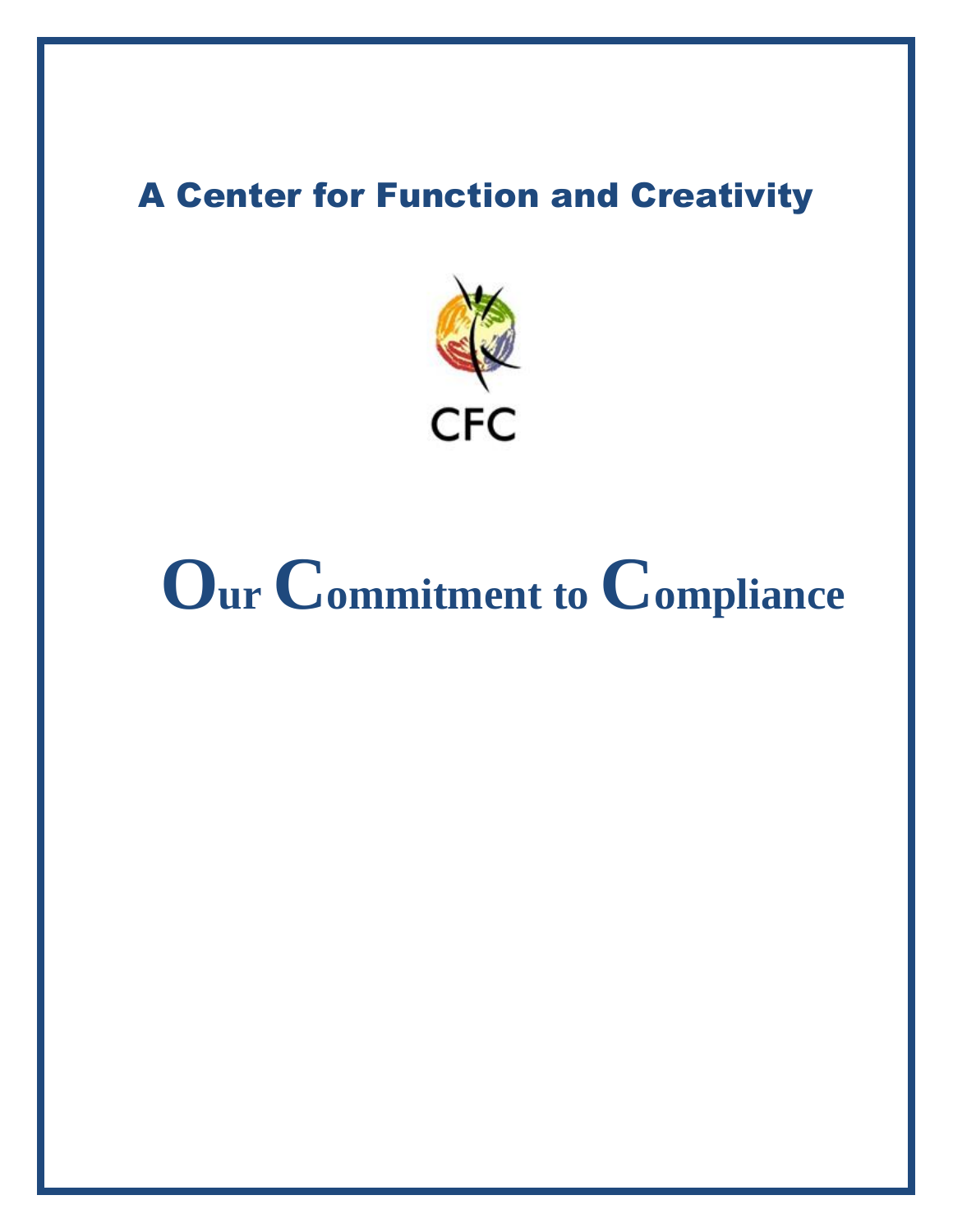### **A Center for Function and Creativity**



# Our Commitment to Compliance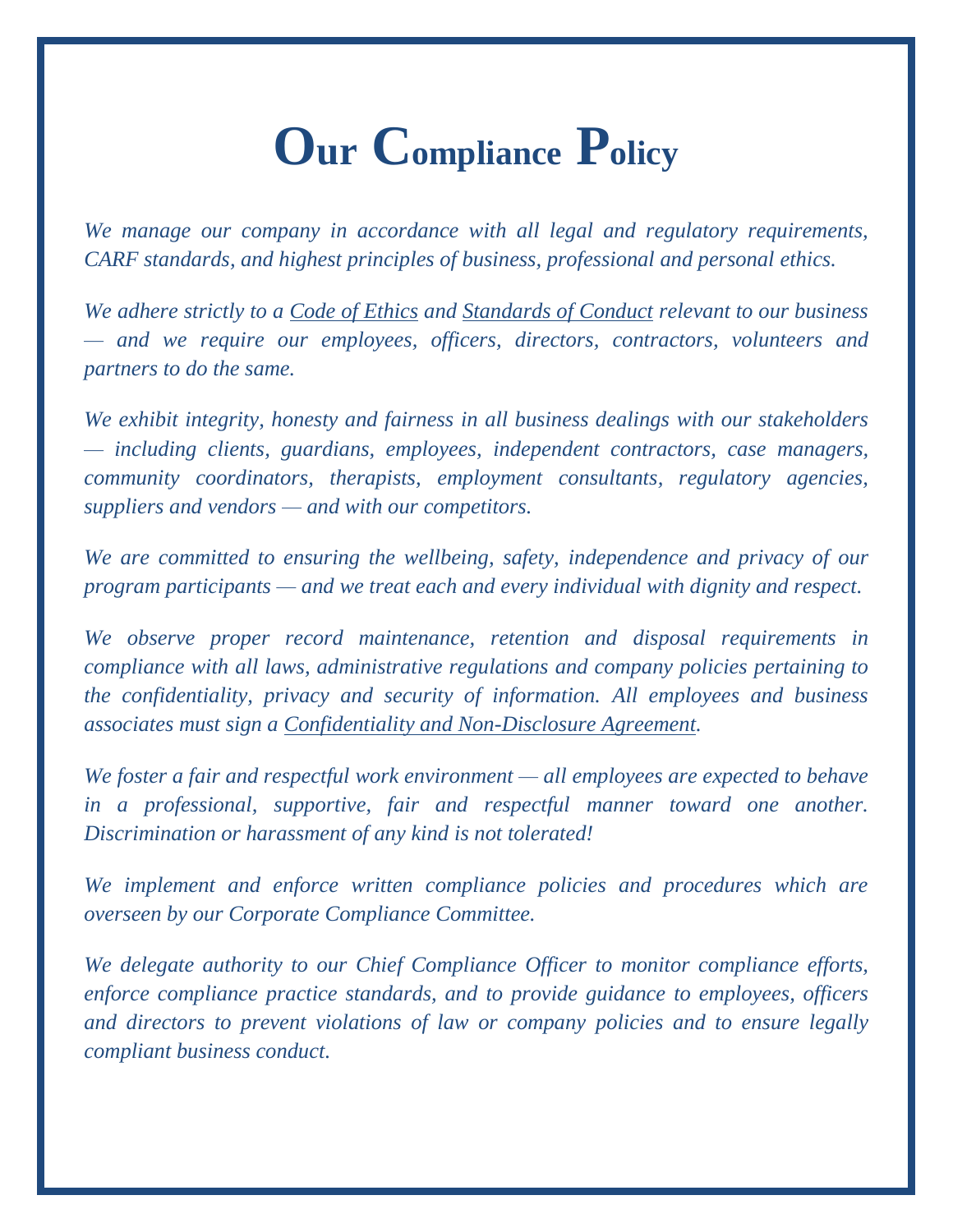### **Our Compliance Policy**

*We manage our company in accordance with all legal and regulatory requirements, CARF standards, and highest principles of business, professional and personal ethics.*

*We adhere strictly to a Code of Ethics and Standards of Conduct relevant to our business — and we require our employees, officers, directors, contractors, volunteers and partners to do the same.*

*We exhibit integrity, honesty and fairness in all business dealings with our stakeholders — including clients, guardians, employees, independent contractors, case managers, community coordinators, therapists, employment consultants, regulatory agencies, suppliers and vendors — and with our competitors.*

*We are committed to ensuring the wellbeing, safety, independence and privacy of our program participants — and we treat each and every individual with dignity and respect.*

*We observe proper record maintenance, retention and disposal requirements in compliance with all laws, administrative regulations and company policies pertaining to the confidentiality, privacy and security of information. All employees and business associates must sign a Confidentiality and Non-Disclosure Agreement.*

*We foster a fair and respectful work environment — all employees are expected to behave in a professional, supportive, fair and respectful manner toward one another. Discrimination or harassment of any kind is not tolerated!* 

*We implement and enforce written compliance policies and procedures which are overseen by our Corporate Compliance Committee.*

*We delegate authority to our Chief Compliance Officer to monitor compliance efforts, enforce compliance practice standards, and to provide guidance to employees, officers and directors to prevent violations of law or company policies and to ensure legally compliant business conduct.*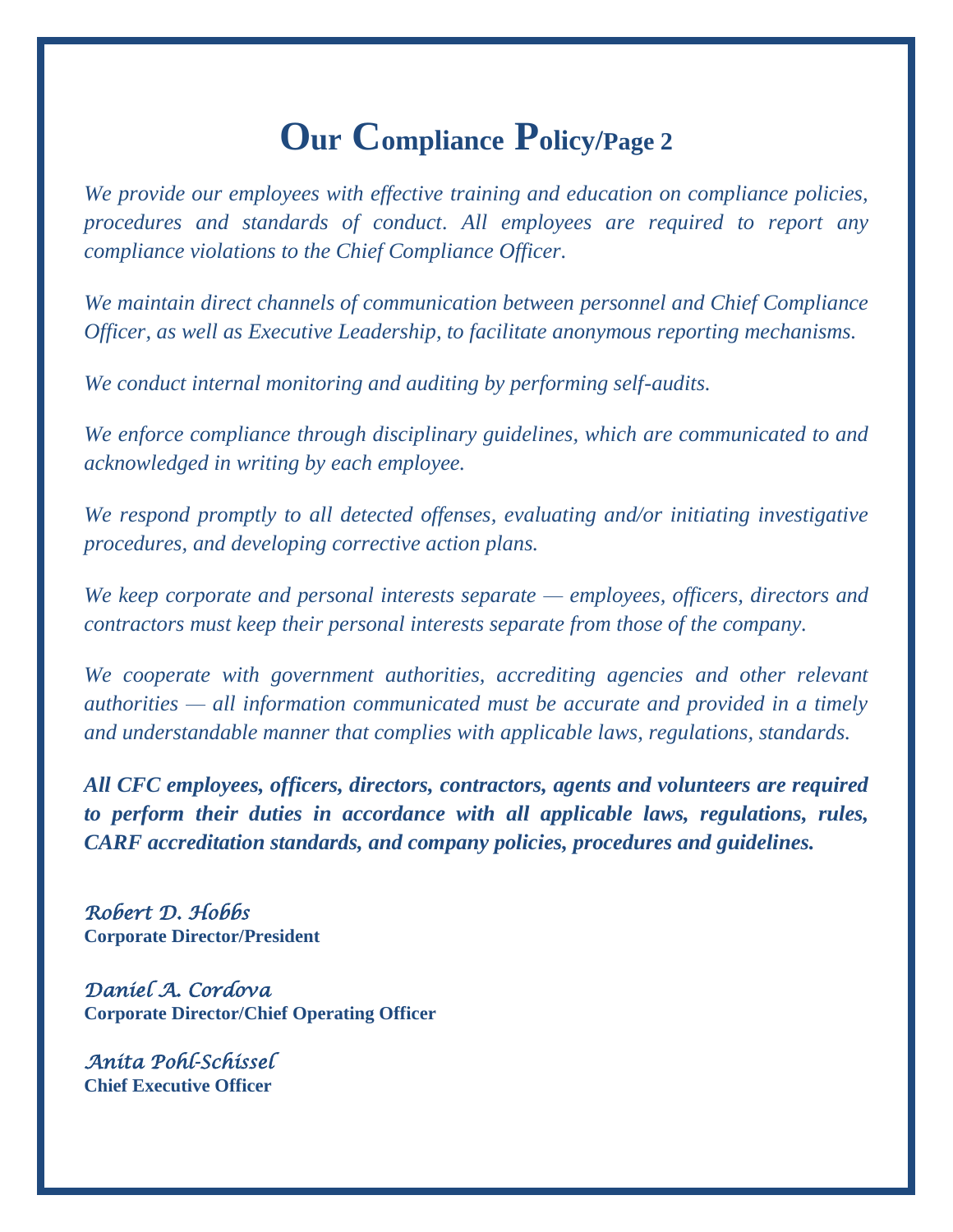### **Our Compliance Policy/Page 2**

*We provide our employees with effective training and education on compliance policies, procedures and standards of conduct. All employees are required to report any compliance violations to the Chief Compliance Officer.*

*We maintain direct channels of communication between personnel and Chief Compliance Officer, as well as Executive Leadership, to facilitate anonymous reporting mechanisms.*

*We conduct internal monitoring and auditing by performing self-audits.*

*We enforce compliance through disciplinary guidelines, which are communicated to and acknowledged in writing by each employee.*

*We respond promptly to all detected offenses, evaluating and/or initiating investigative procedures, and developing corrective action plans.*

*We keep corporate and personal interests separate — employees, officers, directors and contractors must keep their personal interests separate from those of the company.* 

*We cooperate with government authorities, accrediting agencies and other relevant authorities — all information communicated must be accurate and provided in a timely and understandable manner that complies with applicable laws, regulations, standards.* 

*All CFC employees, officers, directors, contractors, agents and volunteers are required to perform their duties in accordance with all applicable laws, regulations, rules, CARF accreditation standards, and company policies, procedures and guidelines.* 

*Robert D. Hobbs* **Corporate Director/President**

*Daniel A. Cordova*  **Corporate Director/Chief Operating Officer**

*Anita Pohl-Schissel* **Chief Executive Officer**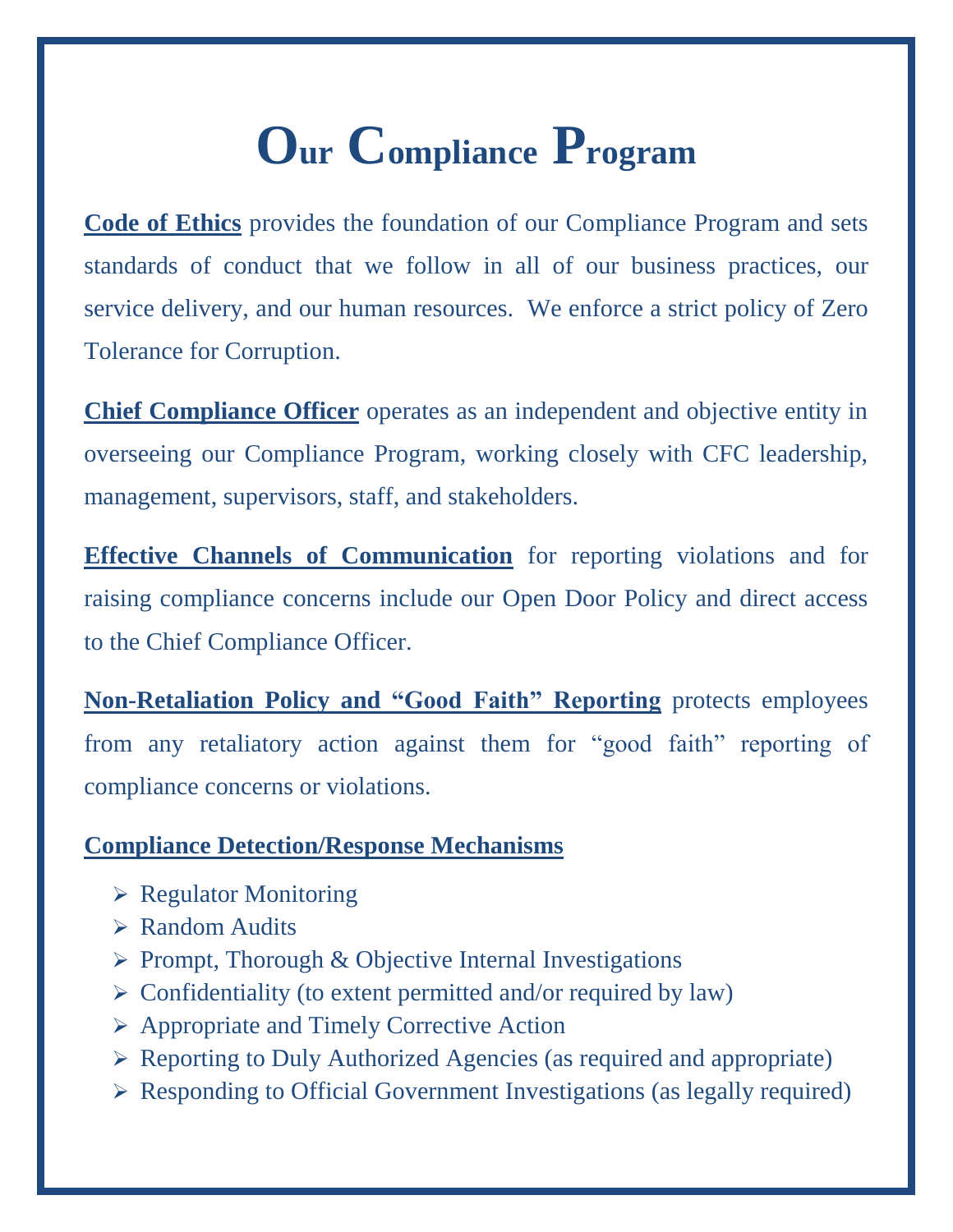## **Our Compliance Program**

**Code of Ethics** provides the foundation of our Compliance Program and sets standards of conduct that we follow in all of our business practices, our service delivery, and our human resources. We enforce a strict policy of Zero Tolerance for Corruption.

**Chief Compliance Officer** operates as an independent and objective entity in overseeing our Compliance Program, working closely with CFC leadership, management, supervisors, staff, and stakeholders.

**Effective Channels of Communication** for reporting violations and for raising compliance concerns include our Open Door Policy and direct access to the Chief Compliance Officer.

**Non-Retaliation Policy and "Good Faith" Reporting** protects employees from any retaliatory action against them for "good faith" reporting of compliance concerns or violations.

#### **Compliance Detection/Response Mechanisms**

- $\triangleright$  Regulator Monitoring
- $\triangleright$  Random Audits
- $\triangleright$  Prompt, Thorough & Objective Internal Investigations
- $\triangleright$  Confidentiality (to extent permitted and/or required by law)
- Appropriate and Timely Corrective Action
- $\triangleright$  Reporting to Duly Authorized Agencies (as required and appropriate)
- Responding to Official Government Investigations (as legally required)